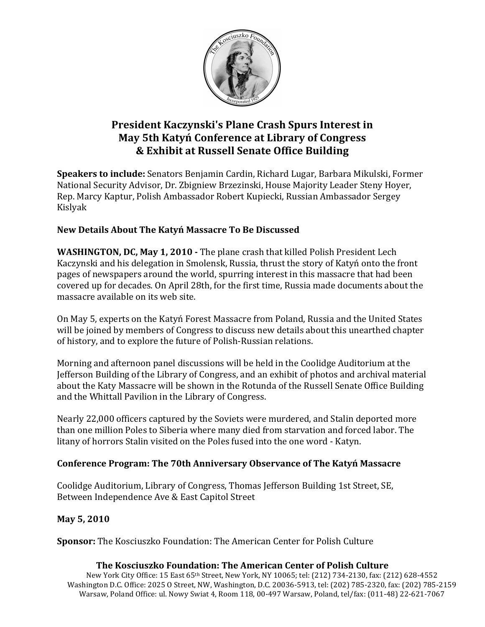

# **President Kaczynski's Plane Crash Spurs Interest in May 5th Katyń Conference at Library of Congress**  $&$  Exhibit at Russell Senate Office Building

**Speakers to include:** Senators Benjamin Cardin, Richard Lugar, Barbara Mikulski, Former National Security Advisor, Dr. Zbigniew Brzezinski, House Majority Leader Steny Hoyer, Rep. Marcy Kaptur, Polish Ambassador Robert Kupiecki, Russian Ambassador Sergey Kislyak!

# **New\$Details\$About\$The\$Katyń Massacre\$To\$Be\$Discussed\$**

**WASHINGTON, DC, May 1, 2010 -** The plane crash that killed Polish President Lech Kaczynski and his delegation in Smolensk, Russia, thrust the story of Katyń onto the front pages of newspapers around the world, spurring interest in this massacre that had been covered up for decades. On April 28th, for the first time, Russia made documents about the massacre available on its web site.

On May 5, experts on the Katyń Forest Massacre from Poland, Russia and the United States will be joined by members of Congress to discuss new details about this unearthed chapter of history, and to explore the future of Polish-Russian relations.

Morning and afternoon panel discussions will be held in the Coolidge Auditorium at the Jefferson Building of the Library of Congress, and an exhibit of photos and archival material about the Katy Massacre will be shown in the Rotunda of the Russell Senate Office Building and the Whittall Pavilion in the Library of Congress.

Nearly 22,000 officers captured by the Soviets were murdered, and Stalin deported more than one million Poles to Siberia where many died from starvation and forced labor. The litany of horrors Stalin visited on the Poles fused into the one word - Katyn.

# **Conference\$Program:\$The\$70th\$Anniversary\$Observance\$of\$The\$Katyń Massacre\$**

Coolidge Auditorium, Library of Congress, Thomas Jefferson Building 1st Street, SE, Between Independence Ave & East Capitol Street

# **May 5, 2010**

**Sponsor:** The Kosciuszko Foundation: The American Center for Polish Culture

# **The Kosciuszko Foundation: The American Center of Polish Culture**

New York City Office: 15 East 65th Street, New York, NY 10065; tel: (212) 734-2130, fax: (212) 628-4552 Washington D.C. Office: 2025 O Street, NW, Washington, D.C. 20036-5913, tel: (202) 785-2320, fax: (202) 785-2159 Warsaw, Poland Office: ul. Nowy Swiat 4, Room 118, 00-497 Warsaw, Poland, tel/fax: (011-48) 22-621-7067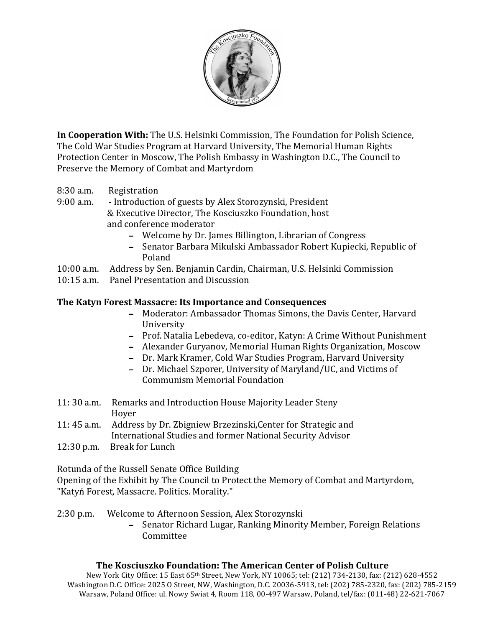

**In Cooperation With:** The U.S. Helsinki Commission, The Foundation for Polish Science, The Cold War Studies Program at Harvard University, The Memorial Human Rights Protection Center in Moscow, The Polish Embassy in Washington D.C., The Council to Preserve the Memory of Combat and Martyrdom

8:30 a.m. Registration

9:00 a.m. - Introduction of guests by Alex Storozynski, President & Executive Director, The Kosciuszko Foundation, host and conference moderator

- Welcome by Dr. James Billington, Librarian of Congress
- Senator Barbara Mikulski Ambassador Robert Kupiecki, Republic of Poland!
- 10:00 a.m. Address by Sen. Benjamin Cardin, Chairman, U.S. Helsinki Commission
- 10:15 a.m. Panel Presentation and Discussion

#### **The Katyn Forest Massacre: Its Importance and Consequences**

- Moderator: Ambassador Thomas Simons, the Davis Center, Harvard University!
- Prof. Natalia Lebedeva, co-editor, Katyn: A Crime Without Punishment
- Alexander Guryanov, Memorial Human Rights Organization, Moscow
- Dr. Mark Kramer, Cold War Studies Program, Harvard University
- Dr. Michael Szporer, University of Maryland/UC, and Victims of Communism Memorial Foundation
- 11: 30 a.m. Remarks and Introduction House Majority Leader Steny Hover<sub>1</sub>
- 11: 45 a.m. Address by Dr. Zbigniew Brzezinski, Center for Strategic and International Studies and former National Security Advisor
- 12:30 p.m. Break for Lunch

Rotunda of the Russell Senate Office Building

Opening of the Exhibit by The Council to Protect the Memory of Combat and Martyrdom, "Katyń Forest, Massacre. Politics. Morality."

2:30 p.m. Welcome to Afternoon Session, Alex Storozynski

- Senator Richard Lugar, Ranking Minority Member, Foreign Relations **Committee** 

#### **The Kosciuszko Foundation: The American Center of Polish Culture**

New York City Office: 15 East 65th Street, New York, NY 10065; tel: (212) 734-2130, fax: (212) 628-4552 Washington D.C. Office: 2025 O Street, NW, Washington, D.C. 20036-5913, tel: (202) 785-2320, fax: (202) 785-2159 Warsaw, Poland Office: ul. Nowy Swiat 4, Room 118, 00-497 Warsaw, Poland, tel/fax: (011-48) 22-621-7067